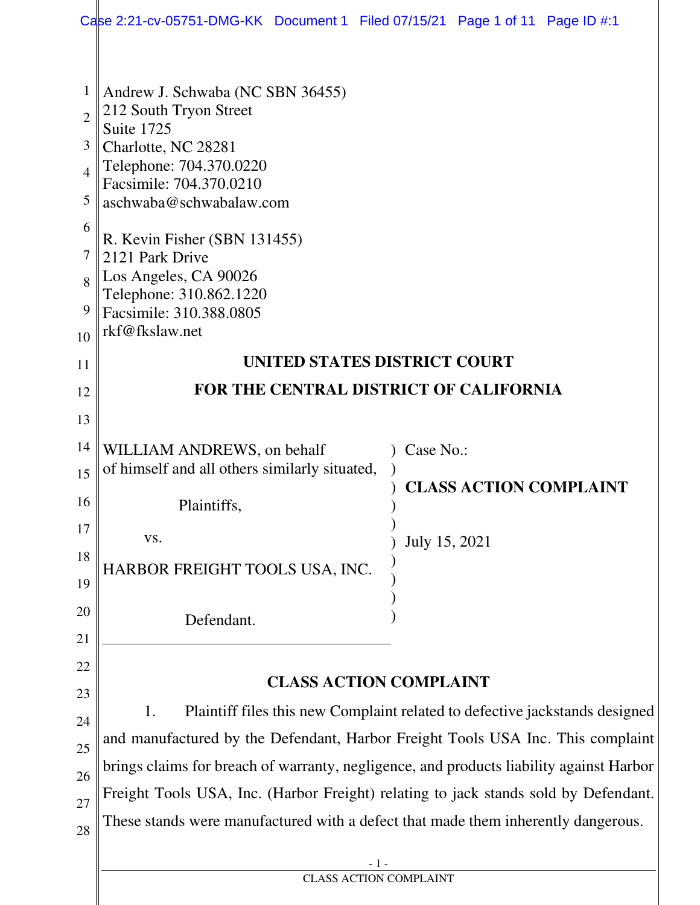|                                                        | Case 2:21-cv-05751-DMG-KK Document 1 Filed 07/15/21 Page 1 of 11 Page ID #:1                                                                                                                                                                                                                                       |                               |  |  |  |  |  |  |
|--------------------------------------------------------|--------------------------------------------------------------------------------------------------------------------------------------------------------------------------------------------------------------------------------------------------------------------------------------------------------------------|-------------------------------|--|--|--|--|--|--|
| 1<br>$\overline{2}$<br>3<br>4<br>5<br>6<br>7<br>8<br>9 | Andrew J. Schwaba (NC SBN 36455)<br>212 South Tryon Street<br>Suite 1725<br>Charlotte, NC 28281<br>Telephone: 704.370.0220<br>Facsimile: 704.370.0210<br>aschwaba@schwabalaw.com<br>R. Kevin Fisher (SBN 131455)<br>2121 Park Drive<br>Los Angeles, CA 90026<br>Telephone: 310.862.1220<br>Facsimile: 310.388.0805 |                               |  |  |  |  |  |  |
| 10                                                     | rkf@fkslaw.net                                                                                                                                                                                                                                                                                                     |                               |  |  |  |  |  |  |
| 11                                                     | UNITED STATES DISTRICT COURT                                                                                                                                                                                                                                                                                       |                               |  |  |  |  |  |  |
| 12                                                     | <b>FOR THE CENTRAL DISTRICT OF CALIFORNIA</b>                                                                                                                                                                                                                                                                      |                               |  |  |  |  |  |  |
| 13                                                     |                                                                                                                                                                                                                                                                                                                    |                               |  |  |  |  |  |  |
| 14                                                     | WILLIAM ANDREWS, on behalf                                                                                                                                                                                                                                                                                         | Case No.:                     |  |  |  |  |  |  |
| 15                                                     | of himself and all others similarly situated,                                                                                                                                                                                                                                                                      | <b>CLASS ACTION COMPLAINT</b> |  |  |  |  |  |  |
| 16                                                     | Plaintiffs,                                                                                                                                                                                                                                                                                                        |                               |  |  |  |  |  |  |
| 17                                                     | VS.                                                                                                                                                                                                                                                                                                                | July 15, 2021                 |  |  |  |  |  |  |
| 18                                                     | HARBOR FREIGHT TOOLS USA, INC.                                                                                                                                                                                                                                                                                     |                               |  |  |  |  |  |  |
| 19                                                     |                                                                                                                                                                                                                                                                                                                    |                               |  |  |  |  |  |  |
| 20                                                     | Defendant.                                                                                                                                                                                                                                                                                                         |                               |  |  |  |  |  |  |
| 21                                                     |                                                                                                                                                                                                                                                                                                                    |                               |  |  |  |  |  |  |
| 22<br>23                                               |                                                                                                                                                                                                                                                                                                                    | <b>CLASS ACTION COMPLAINT</b> |  |  |  |  |  |  |
| 24                                                     | Plaintiff files this new Complaint related to defective jackstands designed<br>1.                                                                                                                                                                                                                                  |                               |  |  |  |  |  |  |
| 25                                                     | and manufactured by the Defendant, Harbor Freight Tools USA Inc. This complaint                                                                                                                                                                                                                                    |                               |  |  |  |  |  |  |
| 26                                                     | brings claims for breach of warranty, negligence, and products liability against Harbor                                                                                                                                                                                                                            |                               |  |  |  |  |  |  |
| 27                                                     | Freight Tools USA, Inc. (Harbor Freight) relating to jack stands sold by Defendant.                                                                                                                                                                                                                                |                               |  |  |  |  |  |  |
| 28                                                     | These stands were manufactured with a defect that made them inherently dangerous.                                                                                                                                                                                                                                  |                               |  |  |  |  |  |  |
|                                                        | - 1 -                                                                                                                                                                                                                                                                                                              |                               |  |  |  |  |  |  |
|                                                        | <b>CLASS ACTION COMPLAINT</b>                                                                                                                                                                                                                                                                                      |                               |  |  |  |  |  |  |
|                                                        |                                                                                                                                                                                                                                                                                                                    |                               |  |  |  |  |  |  |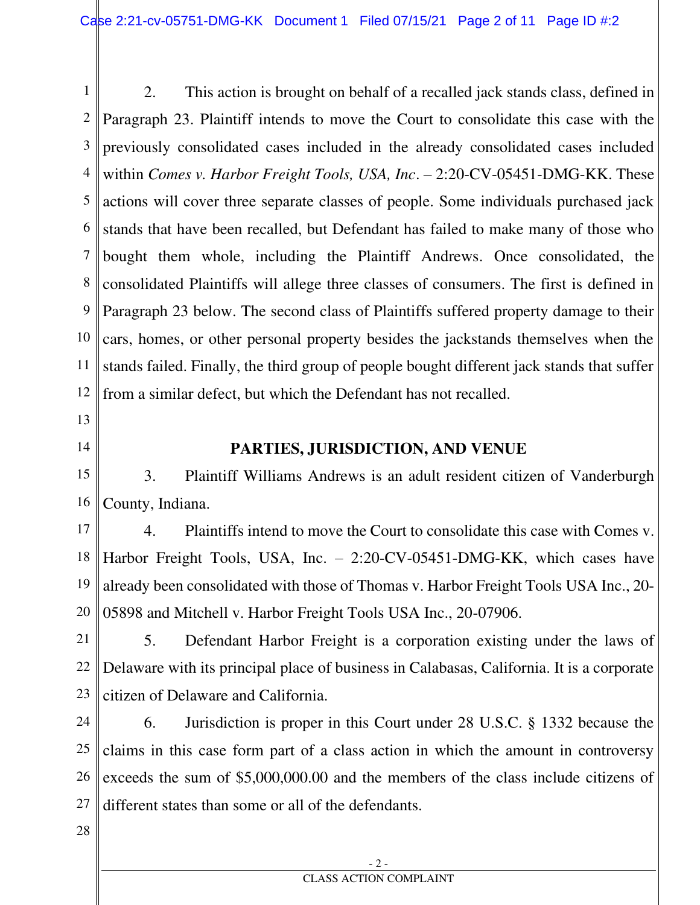1 2 3 4 5 6 7 8 9 10 11 12 2. This action is brought on behalf of a recalled jack stands class, defined in Paragraph 23. Plaintiff intends to move the Court to consolidate this case with the previously consolidated cases included in the already consolidated cases included within *Comes v. Harbor Freight Tools, USA, Inc*. – 2:20-CV-05451-DMG-KK. These actions will cover three separate classes of people. Some individuals purchased jack stands that have been recalled, but Defendant has failed to make many of those who bought them whole, including the Plaintiff Andrews. Once consolidated, the consolidated Plaintiffs will allege three classes of consumers. The first is defined in Paragraph 23 below. The second class of Plaintiffs suffered property damage to their cars, homes, or other personal property besides the jackstands themselves when the stands failed. Finally, the third group of people bought different jack stands that suffer from a similar defect, but which the Defendant has not recalled.

- 13
- 14

# **PARTIES, JURISDICTION, AND VENUE**

15 16 3. Plaintiff Williams Andrews is an adult resident citizen of Vanderburgh County, Indiana.

17 18 19 20 4. Plaintiffs intend to move the Court to consolidate this case with Comes v. Harbor Freight Tools, USA, Inc. – 2:20-CV-05451-DMG-KK, which cases have already been consolidated with those of Thomas v. Harbor Freight Tools USA Inc., 20- 05898 and Mitchell v. Harbor Freight Tools USA Inc., 20-07906.

21 22 23 5. Defendant Harbor Freight is a corporation existing under the laws of Delaware with its principal place of business in Calabasas, California. It is a corporate citizen of Delaware and California.

24 25 26 27 6. Jurisdiction is proper in this Court under 28 U.S.C. § 1332 because the claims in this case form part of a class action in which the amount in controversy exceeds the sum of \$5,000,000.00 and the members of the class include citizens of different states than some or all of the defendants.

28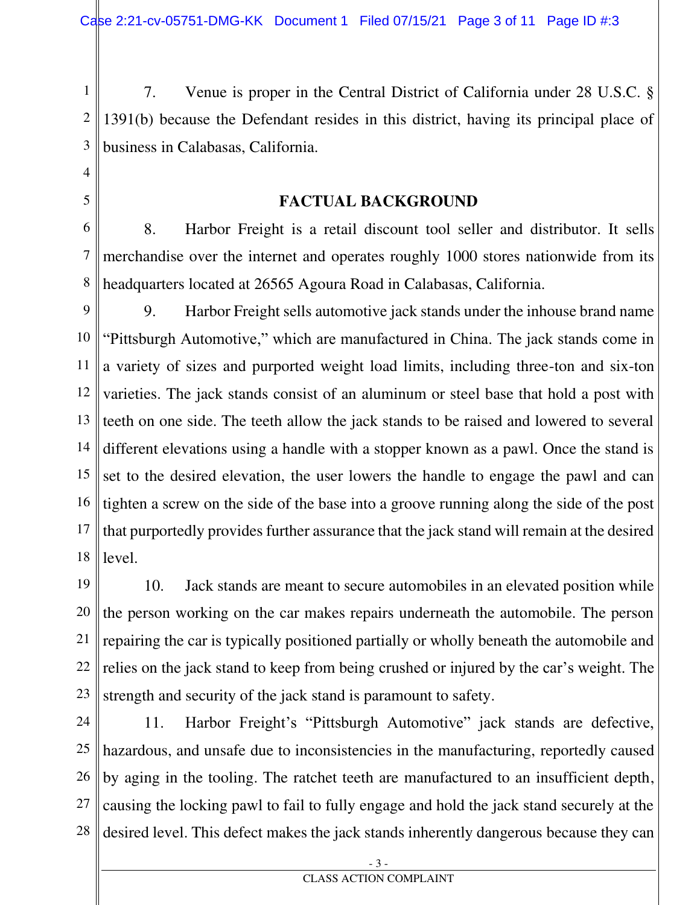1 2 3 7. Venue is proper in the Central District of California under 28 U.S.C. § 1391(b) because the Defendant resides in this district, having its principal place of business in Calabasas, California.

4 5

**FACTUAL BACKGROUND** 

6 7 8 8. Harbor Freight is a retail discount tool seller and distributor. It sells merchandise over the internet and operates roughly 1000 stores nationwide from its headquarters located at 26565 Agoura Road in Calabasas, California.

9 10 11 12 13 14 15 16 17 18 9. Harbor Freight sells automotive jack stands under the inhouse brand name "Pittsburgh Automotive," which are manufactured in China. The jack stands come in a variety of sizes and purported weight load limits, including three-ton and six-ton varieties. The jack stands consist of an aluminum or steel base that hold a post with teeth on one side. The teeth allow the jack stands to be raised and lowered to several different elevations using a handle with a stopper known as a pawl. Once the stand is set to the desired elevation, the user lowers the handle to engage the pawl and can tighten a screw on the side of the base into a groove running along the side of the post that purportedly provides further assurance that the jack stand will remain at the desired level.

19 20 21 22 23 10. Jack stands are meant to secure automobiles in an elevated position while the person working on the car makes repairs underneath the automobile. The person repairing the car is typically positioned partially or wholly beneath the automobile and relies on the jack stand to keep from being crushed or injured by the car's weight. The strength and security of the jack stand is paramount to safety.

24 25 26 27 28 11. Harbor Freight's "Pittsburgh Automotive" jack stands are defective, hazardous, and unsafe due to inconsistencies in the manufacturing, reportedly caused by aging in the tooling. The ratchet teeth are manufactured to an insufficient depth, causing the locking pawl to fail to fully engage and hold the jack stand securely at the desired level. This defect makes the jack stands inherently dangerous because they can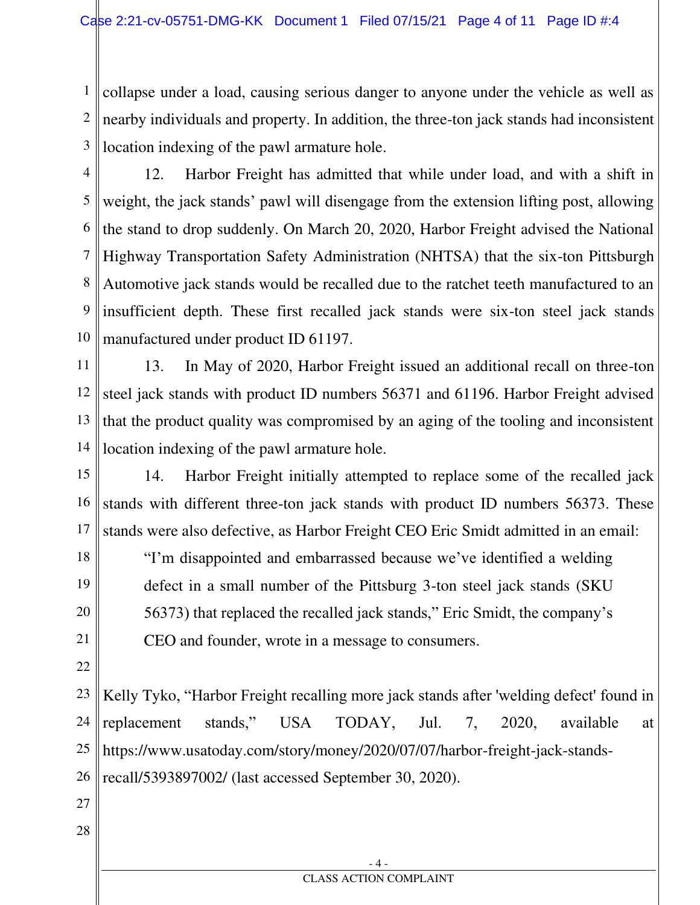1 2 3 collapse under a load, causing serious danger to anyone under the vehicle as well as nearby individuals and property. In addition, the three-ton jack stands had inconsistent location indexing of the pawl armature hole.

- 4 5 6 7 8 9 10 12. Harbor Freight has admitted that while under load, and with a shift in weight, the jack stands' pawl will disengage from the extension lifting post, allowing the stand to drop suddenly. On March 20, 2020, Harbor Freight advised the National Highway Transportation Safety Administration (NHTSA) that the six-ton Pittsburgh Automotive jack stands would be recalled due to the ratchet teeth manufactured to an insufficient depth. These first recalled jack stands were six-ton steel jack stands manufactured under product ID 61197.
- 11 12 13 14 13. In May of 2020, Harbor Freight issued an additional recall on three-ton steel jack stands with product ID numbers 56371 and 61196. Harbor Freight advised that the product quality was compromised by an aging of the tooling and inconsistent location indexing of the pawl armature hole.
- 15 16 17 14. Harbor Freight initially attempted to replace some of the recalled jack stands with different three-ton jack stands with product ID numbers 56373. These stands were also defective, as Harbor Freight CEO Eric Smidt admitted in an email:
- 18 19 20 21 "I'm disappointed and embarrassed because we've identified a welding defect in a small number of the Pittsburg 3-ton steel jack stands (SKU 56373) that replaced the recalled jack stands," Eric Smidt, the company's CEO and founder, wrote in a message to consumers.
- 22

23 24 25 26 Kelly Tyko, "Harbor Freight recalling more jack stands after 'welding defect' found in replacement stands," USA TODAY, Jul. 7, 2020, available at [https://www.usatoday.com/story/money/2020/07/07/harbor-freight-jack-stands](https://www.usatoday.com/story/money/2020/07/07/harbor-freight-jack-stands-recall/5393897002/)[recall/5393897002/](https://www.usatoday.com/story/money/2020/07/07/harbor-freight-jack-stands-recall/5393897002/) (last accessed September 30, 2020).

- 27
- 28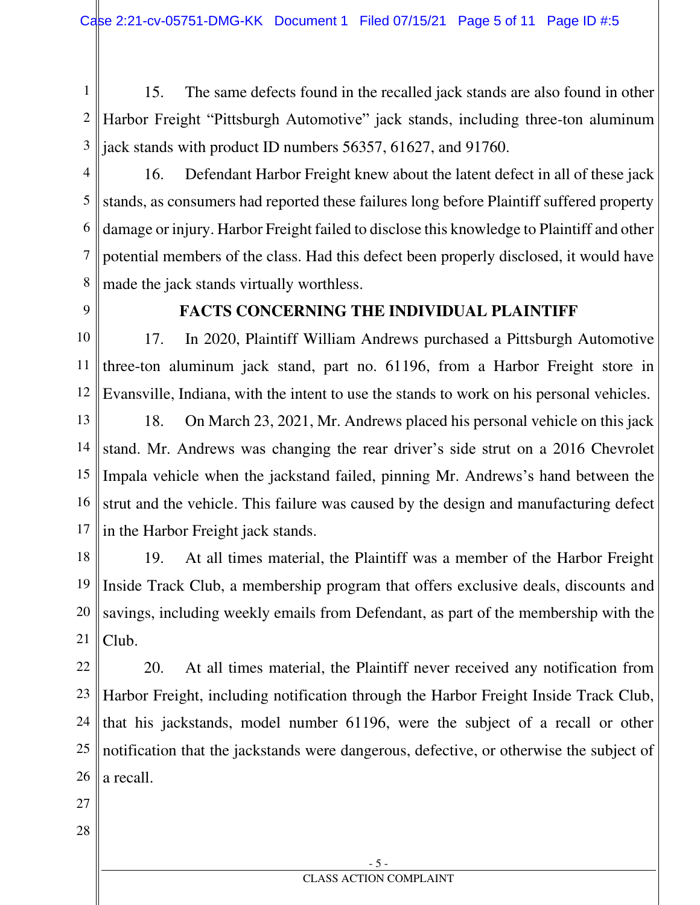1 2 3 15. The same defects found in the recalled jack stands are also found in other Harbor Freight "Pittsburgh Automotive" jack stands, including three-ton aluminum jack stands with product ID numbers 56357, 61627, and 91760.

4

5 6 7 8 16. Defendant Harbor Freight knew about the latent defect in all of these jack stands, as consumers had reported these failures long before Plaintiff suffered property damage or injury. Harbor Freight failed to disclose this knowledge to Plaintiff and other potential members of the class. Had this defect been properly disclosed, it would have made the jack stands virtually worthless.

9

#### **FACTS CONCERNING THE INDIVIDUAL PLAINTIFF**

10 11 12 17. In 2020, Plaintiff William Andrews purchased a Pittsburgh Automotive three-ton aluminum jack stand, part no. 61196, from a Harbor Freight store in Evansville, Indiana, with the intent to use the stands to work on his personal vehicles.

13 14 15 16 17 18. On March 23, 2021, Mr. Andrews placed his personal vehicle on this jack stand. Mr. Andrews was changing the rear driver's side strut on a 2016 Chevrolet Impala vehicle when the jackstand failed, pinning Mr. Andrews's hand between the strut and the vehicle. This failure was caused by the design and manufacturing defect in the Harbor Freight jack stands.

18 19 20 21 19. At all times material, the Plaintiff was a member of the Harbor Freight Inside Track Club, a membership program that offers exclusive deals, discounts and savings, including weekly emails from Defendant, as part of the membership with the Club.

22 23 24 25 26 20. At all times material, the Plaintiff never received any notification from Harbor Freight, including notification through the Harbor Freight Inside Track Club, that his jackstands, model number 61196, were the subject of a recall or other notification that the jackstands were dangerous, defective, or otherwise the subject of a recall.

- 27
- 28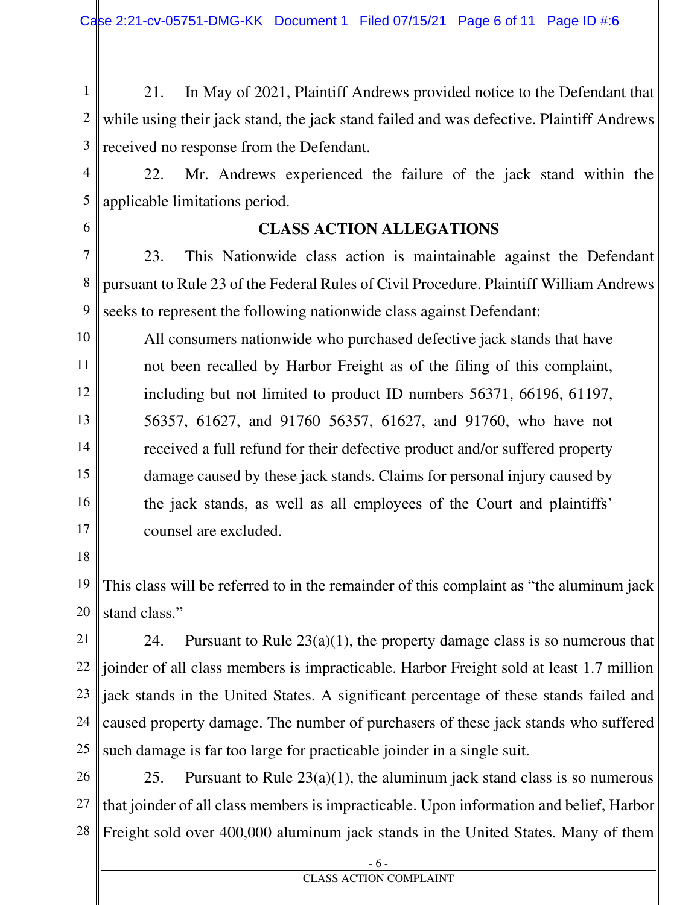1 2 3 21. In May of 2021, Plaintiff Andrews provided notice to the Defendant that while using their jack stand, the jack stand failed and was defective. Plaintiff Andrews received no response from the Defendant.

4

 22. Mr. Andrews experienced the failure of the jack stand within the applicable limitations period.

6

5

# **CLASS ACTION ALLEGATIONS**

7 8 9 23. This Nationwide class action is maintainable against the Defendant pursuant to Rule 23 of the Federal Rules of Civil Procedure. Plaintiff William Andrews seeks to represent the following nationwide class against Defendant:

10 11 12 13 14 15 16 17 All consumers nationwide who purchased defective jack stands that have not been recalled by Harbor Freight as of the filing of this complaint, including but not limited to product ID numbers 56371, 66196, 61197, 56357, 61627, and 91760 56357, 61627, and 91760, who have not received a full refund for their defective product and/or suffered property damage caused by these jack stands. Claims for personal injury caused by the jack stands, as well as all employees of the Court and plaintiffs' counsel are excluded.

18

19 20 This class will be referred to in the remainder of this complaint as "the aluminum jack stand class."

21 22 23 24 25 24. Pursuant to Rule  $23(a)(1)$ , the property damage class is so numerous that joinder of all class members is impracticable. Harbor Freight sold at least 1.7 million jack stands in the United States. A significant percentage of these stands failed and caused property damage. The number of purchasers of these jack stands who suffered such damage is far too large for practicable joinder in a single suit.

26 27 28 25. Pursuant to Rule  $23(a)(1)$ , the aluminum jack stand class is so numerous that joinder of all class members is impracticable. Upon information and belief, Harbor Freight sold over 400,000 aluminum jack stands in the United States. Many of them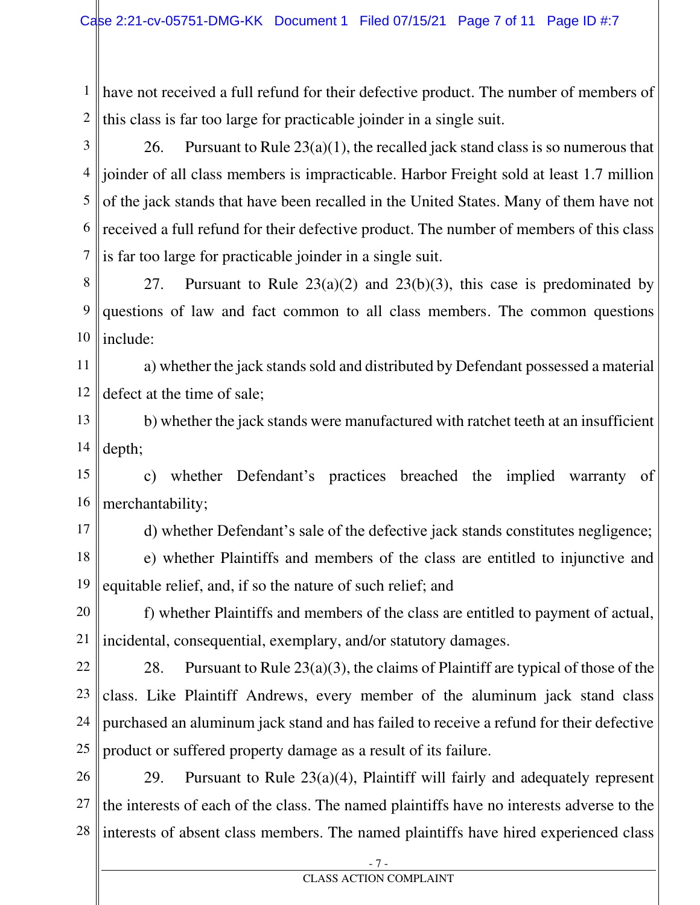1 have not received a full refund for their defective product. The number of members of 2 this class is far too large for practicable joinder in a single suit.

3 4 joinder of all class members is impracticable. Harbor Freight sold at least 1.7 million 5 6 7 26. Pursuant to Rule  $23(a)(1)$ , the recalled jack stand class is so numerous that of the jack stands that have been recalled in the United States. Many of them have not received a full refund for their defective product. The number of members of this class is far too large for practicable joinder in a single suit.

8 9 10 27. Pursuant to Rule  $23(a)(2)$  and  $23(b)(3)$ , this case is predominated by questions of law and fact common to all class members. The common questions include:

11 12 a) whether the jack stands sold and distributed by Defendant possessed a material defect at the time of sale;

13 14 b) whether the jack stands were manufactured with ratchet teeth at an insufficient depth;

15 16 c) whether Defendant's practices breached the implied warranty of merchantability;

17

d) whether Defendant's sale of the defective jack stands constitutes negligence;

18 19 e) whether Plaintiffs and members of the class are entitled to injunctive and equitable relief, and, if so the nature of such relief; and

20 21 f) whether Plaintiffs and members of the class are entitled to payment of actual, incidental, consequential, exemplary, and/or statutory damages.

22 23 24 25 28. Pursuant to Rule  $23(a)(3)$ , the claims of Plaintiff are typical of those of the class. Like Plaintiff Andrews, every member of the aluminum jack stand class purchased an aluminum jack stand and has failed to receive a refund for their defective product or suffered property damage as a result of its failure.

26 27 28 29. Pursuant to Rule  $23(a)(4)$ , Plaintiff will fairly and adequately represent the interests of each of the class. The named plaintiffs have no interests adverse to the interests of absent class members. The named plaintiffs have hired experienced class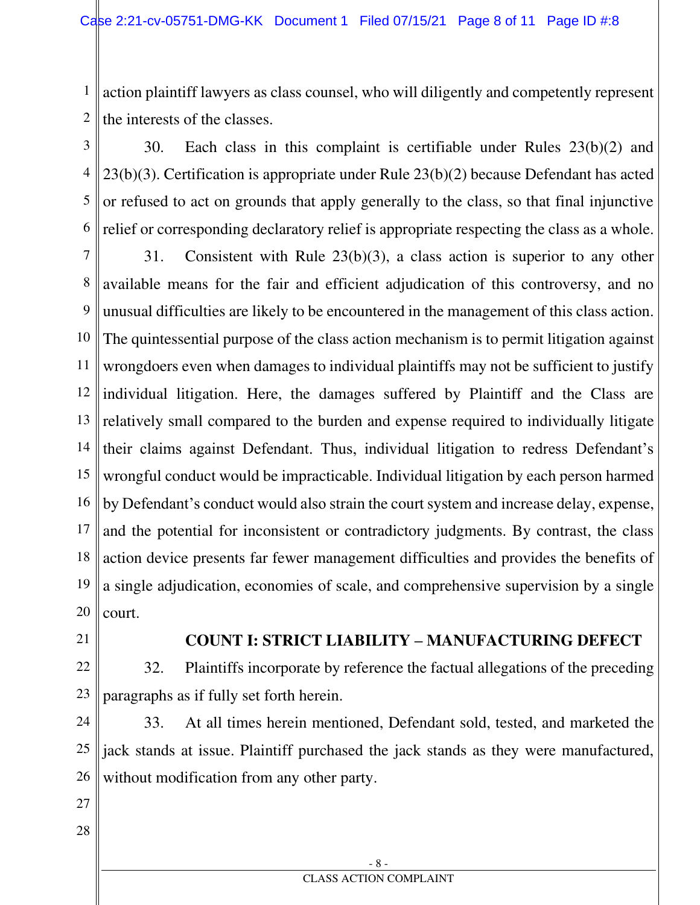1 2 action plaintiff lawyers as class counsel, who will diligently and competently represent the interests of the classes.

3 4 5 6 30. Each class in this complaint is certifiable under Rules 23(b)(2) and 23(b)(3). Certification is appropriate under Rule 23(b)(2) because Defendant has acted or refused to act on grounds that apply generally to the class, so that final injunctive relief or corresponding declaratory relief is appropriate respecting the class as a whole.

7 8 9 10 11 12 13 14 15 16 17 18 19 20 31. Consistent with Rule 23(b)(3), a class action is superior to any other available means for the fair and efficient adjudication of this controversy, and no unusual difficulties are likely to be encountered in the management of this class action. The quintessential purpose of the class action mechanism is to permit litigation against wrongdoers even when damages to individual plaintiffs may not be sufficient to justify individual litigation. Here, the damages suffered by Plaintiff and the Class are relatively small compared to the burden and expense required to individually litigate their claims against Defendant. Thus, individual litigation to redress Defendant's wrongful conduct would be impracticable. Individual litigation by each person harmed by Defendant's conduct would also strain the court system and increase delay, expense, and the potential for inconsistent or contradictory judgments. By contrast, the class action device presents far fewer management difficulties and provides the benefits of a single adjudication, economies of scale, and comprehensive supervision by a single court.

21

#### **COUNT I: STRICT LIABILITY – MANUFACTURING DEFECT**

22 23 32. Plaintiffs incorporate by reference the factual allegations of the preceding paragraphs as if fully set forth herein.

24 25 26 33. At all times herein mentioned, Defendant sold, tested, and marketed the jack stands at issue. Plaintiff purchased the jack stands as they were manufactured, without modification from any other party.

- 27
- 28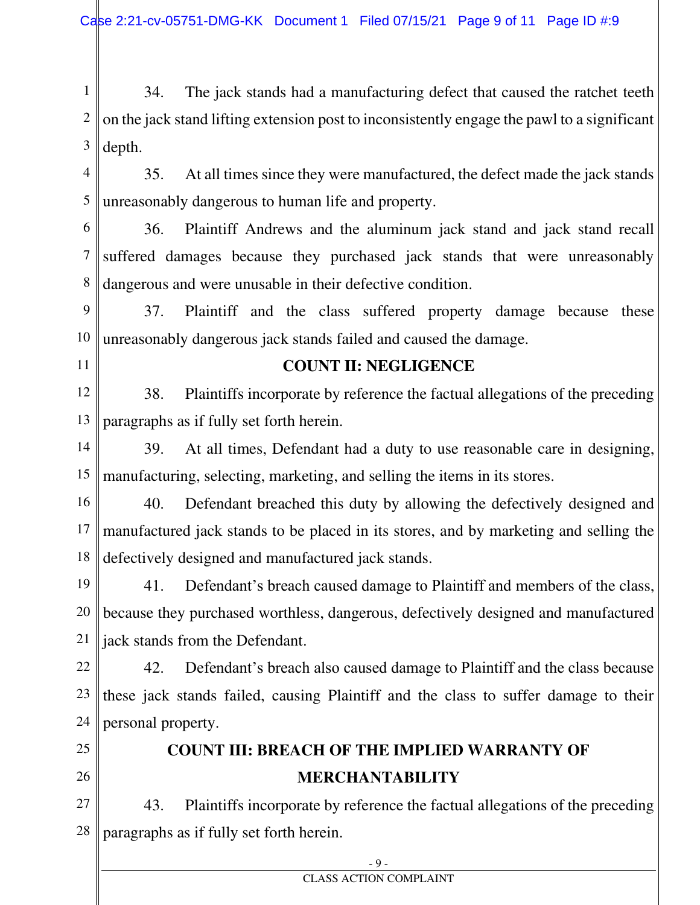1 2 3 34. The jack stands had a manufacturing defect that caused the ratchet teeth on the jack stand lifting extension post to inconsistently engage the pawl to a significant depth.

4 5 35. At all times since they were manufactured, the defect made the jack stands unreasonably dangerous to human life and property.

6 7 8 36. Plaintiff Andrews and the aluminum jack stand and jack stand recall suffered damages because they purchased jack stands that were unreasonably dangerous and were unusable in their defective condition.

9 10 37. Plaintiff and the class suffered property damage because these unreasonably dangerous jack stands failed and caused the damage.

11

#### **COUNT II: NEGLIGENCE**

12 13 38. Plaintiffs incorporate by reference the factual allegations of the preceding paragraphs as if fully set forth herein.

14 15 39. At all times, Defendant had a duty to use reasonable care in designing, manufacturing, selecting, marketing, and selling the items in its stores.

16 17 18 40. Defendant breached this duty by allowing the defectively designed and manufactured jack stands to be placed in its stores, and by marketing and selling the defectively designed and manufactured jack stands.

19 20 21 41. Defendant's breach caused damage to Plaintiff and members of the class, because they purchased worthless, dangerous, defectively designed and manufactured jack stands from the Defendant.

22 23 24 42. Defendant's breach also caused damage to Plaintiff and the class because these jack stands failed, causing Plaintiff and the class to suffer damage to their personal property.

25

26

# **COUNT III: BREACH OF THE IMPLIED WARRANTY OF MERCHANTABILITY**

27 28 43. Plaintiffs incorporate by reference the factual allegations of the preceding paragraphs as if fully set forth herein.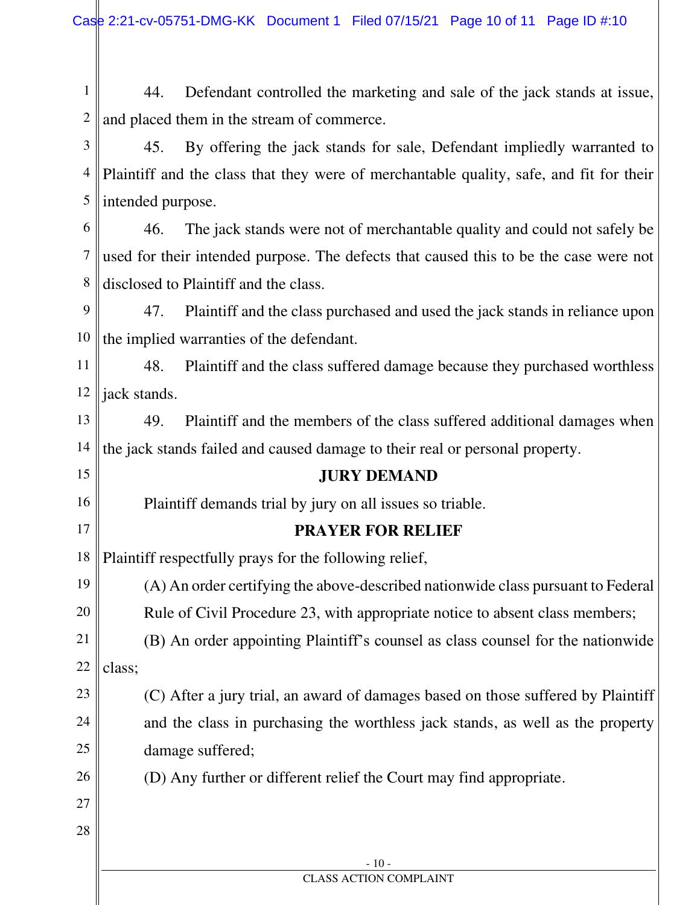1 2 44. Defendant controlled the marketing and sale of the jack stands at issue, and placed them in the stream of commerce.

3 4 5 45. By offering the jack stands for sale, Defendant impliedly warranted to Plaintiff and the class that they were of merchantable quality, safe, and fit for their intended purpose.

6 7 8 46. The jack stands were not of merchantable quality and could not safely be used for their intended purpose. The defects that caused this to be the case were not disclosed to Plaintiff and the class.

9 10 47. Plaintiff and the class purchased and used the jack stands in reliance upon the implied warranties of the defendant.

11 12 48. Plaintiff and the class suffered damage because they purchased worthless jack stands.

13 14 49. Plaintiff and the members of the class suffered additional damages when the jack stands failed and caused damage to their real or personal property.

## **JURY DEMAND**

Plaintiff demands trial by jury on all issues so triable.

## **PRAYER FOR RELIEF**

18 Plaintiff respectfully prays for the following relief,

19 20 (A) An order certifying the above-described nationwide class pursuant to Federal Rule of Civil Procedure 23, with appropriate notice to absent class members;

21 22 (B) An order appointing Plaintiff's counsel as class counsel for the nationwide class;

23 24 25 (C) After a jury trial, an award of damages based on those suffered by Plaintiff and the class in purchasing the worthless jack stands, as well as the property damage suffered;

> - 10 - CLASS ACTION COMPLAINT

(D) Any further or different relief the Court may find appropriate.

27

28

26

15

16

17